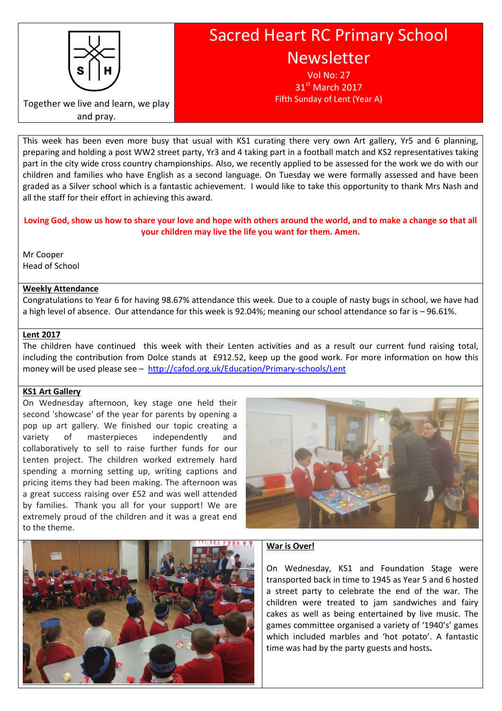

# Sacred Heart RC Primary School Newsletter

Vol No: 27 31<sup>st</sup> March 2017 Fifth Sunday of Lent (Year A)

Together we live and learn, we play and pray.

This week has been even more busy that usual with KS1 curating there very own Art gallery, Yr5 and 6 planning, preparing and holding a post WW2 street party, Yr3 and 4 taking part in a football match and KS2 representatives taking part in the city wide cross country championships. Also, we recently applied to be assessed for the work we do with our children and families who have English as a second language. On Tuesday we were formally assessed and have been graded as a Silver school which is a fantastic achievement. I would like to take this opportunity to thank Mrs Nash and all the staff for their effort in achieving this award.

Loving God, show us how to share your love and hope with others around the world, and to make a change so that all your children may live the life you want for them. Amen.

Mr Cooper Head of School

#### Weekly Attendance

Congratulations to Year 6 for having 98.67% attendance this week. Due to a couple of nasty bugs in school, we have had a high level of absence. Our attendance for this week is 92.04%; meaning our school attendance so far is – 96.61%.

#### Lent 2017

The children have continued this week with their Lenten activities and as a result our current fund raising total, including the contribution from Dolce stands at £912.52, keep up the good work. For more information on how this money will be used please see – http://cafod.org.uk/Education/Primary-schools/Lent

## KS1 Art Gallery

On Wednesday afternoon, key stage one held their second 'showcase' of the year for parents by opening a pop up art gallery. We finished our topic creating a variety of masterpieces independently and collaboratively to sell to raise further funds for our Lenten project. The children worked extremely hard spending a morning setting up, writing captions and pricing items they had been making. The afternoon was a great success raising over £52 and was well attended by families. Thank you all for your support! We are extremely proud of the children and it was a great end to the theme.





#### War is Over!

On Wednesday, KS1 and Foundation Stage were transported back in time to 1945 as Year 5 and 6 hosted a street party to celebrate the end of the war. The children were treated to jam sandwiches and fairy cakes as well as being entertained by live music. The games committee organised a variety of '1940's' games which included marbles and 'hot potato'. A fantastic time was had by the party guests and hosts.